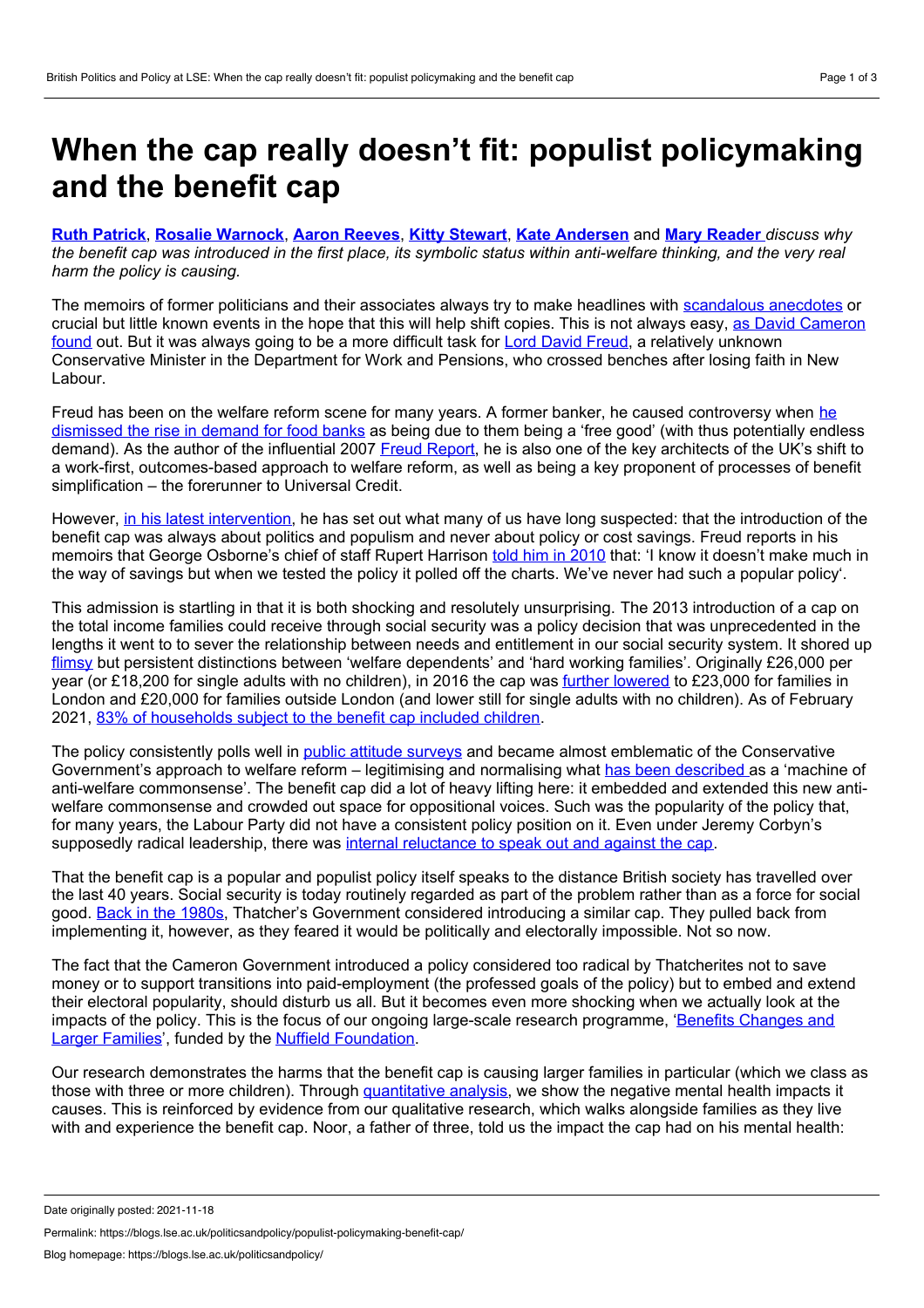## <span id="page-0-0"></span>**When the cap really doesn't fit: populist policymaking and the benefit cap**

**Ruth [Patrick](#page-0-0)**, **Rosalie [Warnock](#page-0-0)**, **Aaron [Reeves](#page-0-0)**, **Kitty [Stewart](#page-0-0)**, **Kate [Andersen](#page-0-0)** and **Mary [Reader](#page-0-0)** *discuss why* the benefit cap was introduced in the first place, its symbolic status within anti-welfare thinking, and the very real *harm the policy is causing.*

The memoirs of former politicians and their associates always try to make headlines with [scandalous](https://www.dailymail.co.uk/news/article-8742417/David-Cameron-red-faced-partying-sex-jokes-Lady-Swire-memoirs.html) anecdotes or crucial but little known events in the hope that this will help shift copies. This is not always easy, as David [Cameron](https://www.bbc.co.uk/news/uk-politics-54294775) found out. But it was always going to be a more difficult task for Lord David [Freud,](https://www.waterstones.com/book/clashing-agendas/david-freud//9781910533529) a relatively unknown Conservative Minister in the Department for Work and Pensions, who crossed benches after losing faith in New Labour.

Freud has been on the welfare reform scene for many years. A former banker, he caused [controversy](https://www.theguardian.com/commentisfree/2013/jul/04/lord-freud-food-banks) when he dismissed the rise in demand for food banks as being due to them being a 'free good' (with thus potentially endless demand). As the author of the influential 2007 Freud [Report,](http://image.guardian.co.uk/sys-files/Politics/documents/2007/03/05/welfarereviewreport.pdf) he is also one of the key architects of the UK's shift to a work-first, outcomes-based approach to welfare reform, as well as being a key proponent of processes of benefit simplification – the forerunner to Universal Credit.

However, in his latest [intervention,](https://www.mirror.co.uk/news/politics/benefit-cap-scandal-tory-ex-25451603) he has set out what many of us have long suspected: that the introduction of the benefit cap was always about politics and populism and never about policy or cost savings. Freud reports in his memoirs that George Osborne's chief of staff Rupert Harrison told him in [2010](https://www.theyworkforyou.com/lords/?id=2021-11-02a.1128.0) that: 'I know it doesn't make much in the way of savings but when we tested the policy it polled off the charts. We've never had such a popular policy'.

This admission is startling in that it is both shocking and resolutely unsurprising. The 2013 introduction of a cap on the total income families could receive through social security was a policy decision that was unprecedented in the lengths it went to to sever the relationship between needs and entitlement in our social security system. It shored up [flimsy](https://policy.bristoluniversitypress.co.uk/good-times-bad-times-1) but persistent distinctions between 'welfare dependents' and 'hard working families'. Originally £26,000 per year (or £18,200 for single adults with no children), in 2016 the cap was further [lowered](https://www.gov.uk/government/statistics/benefit-cap-number-of-households-capped-to-february-2021/benefit-cap-number-of-households-capped-to-february-2021) to £23,000 for families in London and £20,000 for families outside London (and lower still for single adults with no children). As of February 2021, 83% of [households](https://www.gov.uk/government/statistics/benefit-cap-number-of-households-capped-to-february-2021/benefit-cap-number-of-households-capped-to-february-2021) subject to the benefit cap included children.

The policy consistently polls well in public attitude [surveys](https://www.bsa.natcen.ac.uk/media/38977/bsa32_welfare.pdf) and became almost emblematic of the Conservative Government's approach to welfare reform – legitimising and normalising what has been [described](https://journals.sagepub.com/doi/abs/10.1177/0261018315600835?journalCode=cspa) as a 'machine of anti-welfare commonsense'. The benefit cap did a lot of heavy lifting here: it embedded and extended this new anti welfare commonsense and crowded out space for oppositional voices. Such was the popularity of the policy that, for many years, the Labour Party did not have a consistent policy position on it. Even under Jeremy Corbyn's supposedly radical leadership, there was internal [reluctance](https://www.newstatesman.com/politics/2015/09/jeremy-corbyn-defies-shadow-cabinet-pledging-scrap-benefit-cap) to speak out and against the cap.

That the benefit cap is a popular and populist policy itself speaks to the distance British society has travelled over the last 40 years. Social security is today routinely regarded as part of the problem rather than as a force for social good. Back in the [1980s](https://www.cambridge.org/core/journals/journal-of-social-policy/article/abs/household-benefit-cap-understanding-the-restriction-of-benefit-income-in-britain/586D10B085AAD97A1FEF1447CD68935E), Thatcher's Government considered introducing a similar cap. They pulled back from implementing it, however, as they feared it would be politically and electorally impossible. Not so now.

The fact that the Cameron Government introduced a policy considered too radical by Thatcherites not to save money or to support transitions into paid-employment (the professed goals of the policy) but to embed and extend their electoral popularity, should disturb us all. But it becomes even more shocking when we actually look at the impacts of the policy. This is the focus of our ongoing large-scale research [programme,](http://www.largerfamilies.study) 'Benefits Changes and Larger Families', funded by the Nuffield [Foundation](http://www.nuffieldfoundation.org).

Our research demonstrates the harms that the benefit cap is causing larger families in particular (which we class as those with three or more children). Through [quantitative](https://sticerd.lse.ac.uk/dps/case/cp/casepaper221.pdf) analysis, we show the negative mental health impacts it causes. This is reinforced by evidence from our qualitative research, which walks alongside families as they live with and experience the benefit cap. Noor, a father of three, told us the impact the cap had on his mental health:

Permalink: https://blogs.lse.ac.uk/politicsandpolicy/populist-policymaking-benefit-cap/

Date originally posted: 2021-11-18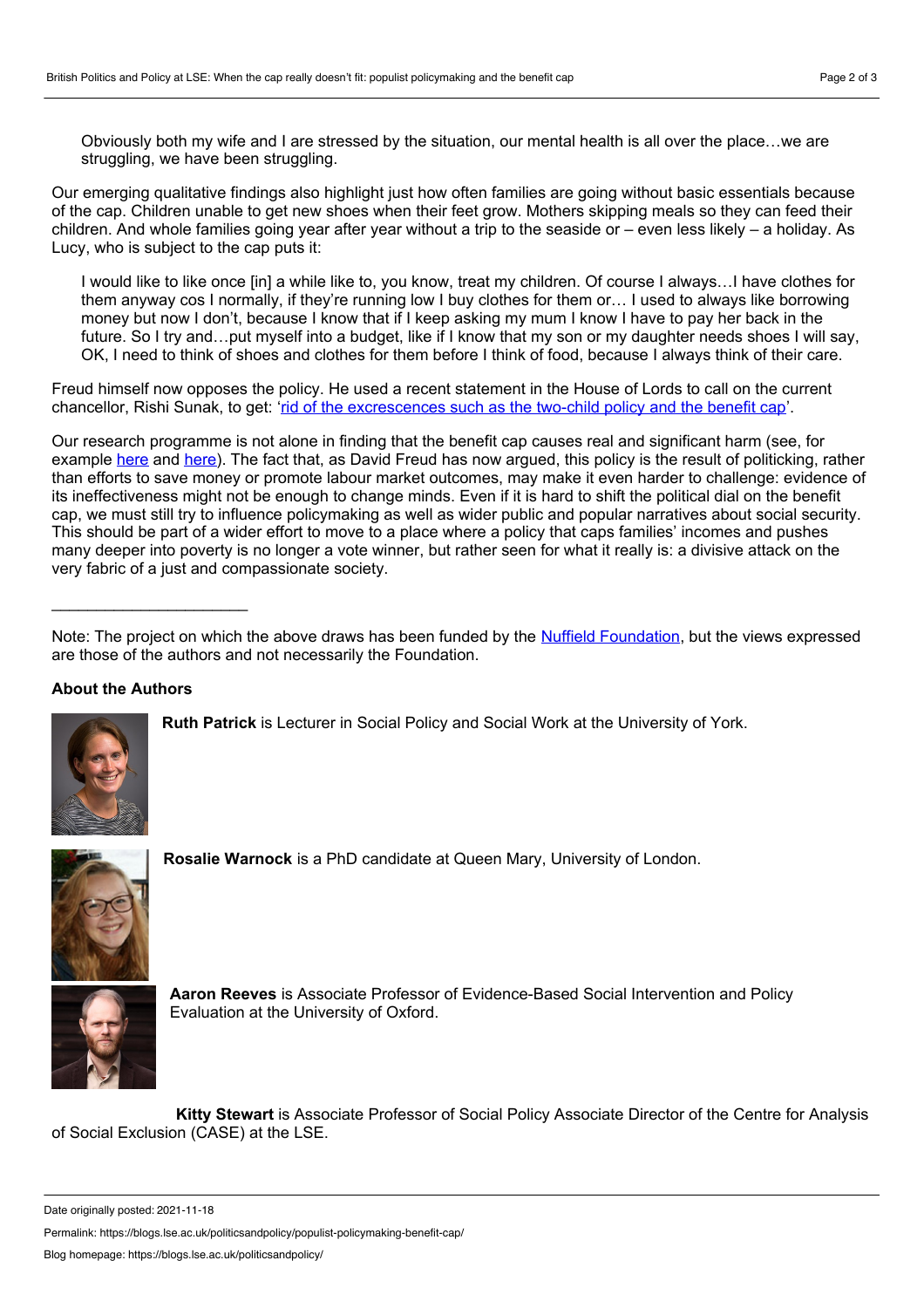Obviously both my wife and I are stressed by the situation, our mental health is all over the place…we are struggling, we have been struggling.

Our emerging qualitative findings also highlight just how often families are going without basic essentials because of the cap. Children unable to get new shoes when their feet grow. Mothers skipping meals so they can feed their children. And whole families going year after year without a trip to the seaside or – even less likely – a holiday. As Lucy, who is subject to the cap puts it:

I would like to like once [in] a while like to, you know, treat my children. Of course I always…I have clothes for them anyway cos I normally, if they're running low I buy clothes for them or… I used to always like borrowing money but now I don't, because I know that if I keep asking my mum I know I have to pay her back in the future. So I try and...put myself into a budget, like if I know that my son or my daughter needs shoes I will say, OK, I need to think of shoes and clothes for them before I think of food, because I always think of their care.

Freud himself now opposes the policy. He used a recent statement in the House of Lords to call on the current chancellor, Rishi Sunak, to get: 'rid of the [excrescences](https://www.theyworkforyou.com/lords/?id=2021-11-02a.1128.0) such as the two-child policy and the benefit cap'.

Our research programme is not alone in finding that the benefit cap causes real and significant harm (see, for example [here](https://www.theguardian.com/society/2018/nov/03/benefit-cap-leaves-poor-families-with-mounting-debt-study-shows) and here). The fact that, as David Freud has now argued, this policy is the result of politicking, rather than efforts to save money or promote labour market outcomes, may make it even harder to challenge: evidence of its ineffectiveness might not be enough to change minds. Even if it is hard to shift the political dial on the benefit cap, we must still try to influence policymaking as well as wider public and popular narratives about social security. This should be part of a wider effort to move to a place where a policy that caps families' incomes and pushes many deeper into poverty is no longer a vote winner, but rather seen for what it really is: a divisive attack on the very fabric of a just and compassionate society.

## **About the Authors**

\_\_\_\_\_\_\_\_\_\_\_\_\_\_\_\_\_\_\_\_\_\_



**Ruth Patrick** is Lecturer in Social Policy and Social Work at the University of York.



**Rosalie Warnock** is a PhD candidate at Queen Mary, University of London.



**Aaron Reeves** is Associate Professor of Evidence-Based Social Intervention and Policy Evaluation at the University of Oxford.

**Kitty Stewart** is Associate Professor of Social Policy Associate Director of the Centre for Analysis of Social Exclusion (CASE) at the LSE.

Permalink: https://blogs.lse.ac.uk/politicsandpolicy/populist-policymaking-benefit-cap/

Note: The project on which the above draws has been funded by the Nuffield [Foundation](http://www.nuffieldfoundation.org/), but the views expressed are those of the authors and not necessarily the Foundation.

Date originally posted: 2021-11-18